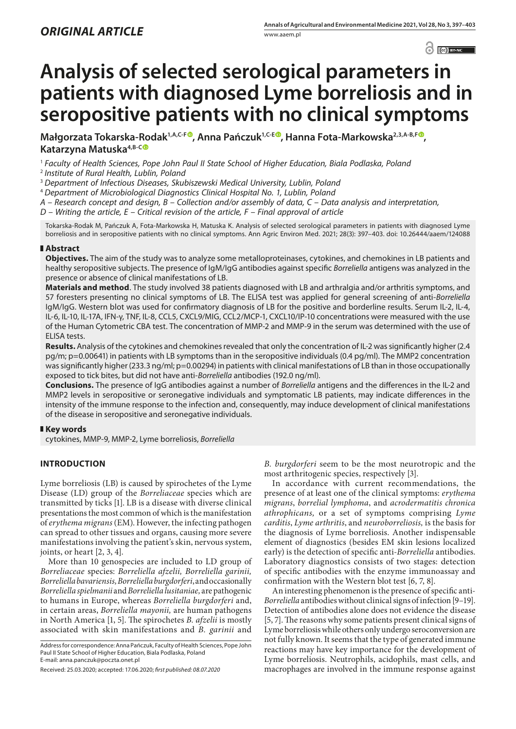$\left| \begin{array}{c} \circ \\ \circ \end{array} \right|$   $\left| \begin{array}{c} \circ \\ \circ \end{array} \right|$  by NC

# **Analysis of selected serological parameters in patients with diagnosed Lyme borreliosis and in seropositive patients with no clinical symptoms**

**Małgorzata Tokarska-Rodak1,A,C-[F](https://orcid.org/0000-0003-2297-970X) , Anna Pańczuk1,C-E , Hanna Fota-Markowska2,3,A-B,F [,](https://orcid.org/0000-0001-9744-3673) Katarzyna Matuska4,B-[C](https://orcid.org/0000-0003-4080-7821)**

<sup>1</sup> *Faculty of Health Sciences, Pope John Paul II State School of Higher Education, Biala Podlaska, Poland*

<sup>2</sup> *Institute of Rural Health, Lublin, Poland*

<sup>3</sup> *Department of Infectious Diseases, Skubiszewski Medical University, Lublin, Poland*

<sup>4</sup> *Department of Microbiological Diagnostics Clinical Hospital No. 1, Lublin, Poland*

*A – Research concept and design, B – Collection and/or assembly of data, C – Data analysis and interpretation,* 

*D – Writing the article, E – Critical revision of the article, F – Final approval of article*

Tokarska-Rodak M, Pańczuk A, Fota-Markowska H, Matuska K. Analysis of selected serological parameters in patients with diagnosed Lyme borreliosis and in seropositive patients with no clinical symptoms. Ann Agric Environ Med. 2021; 28(3): 397–403. doi: 10.26444/aaem/124088

# **Abstract**

**Objectives.** The aim of the study was to analyze some metalloproteinases, cytokines, and chemokines in LB patients and healthy seropositive subjects. The presence of IgM/IgG antibodies against specific *Borreliella* antigens was analyzed in the presence or absence of clinical manifestations of LB.

**Materials and method**. The study involved 38 patients diagnosed with LB and arthralgia and/or arthritis symptoms, and 57 foresters presenting no clinical symptoms of LB. The ELISA test was applied for general screening of anti-*Borreliella* IgM/IgG. Western blot was used for confirmatory diagnosis of LB for the positive and borderline results. Serum IL-2, IL-4, IL-6, IL-10, IL-17A, IFN-γ, TNF, IL-8, CCL5, CXCL9/MIG, CCL2/MCP-1, CXCL10/IP-10 concentrations were measured with the use of the Human Cytometric CBA test. The concentration of MMP-2 and MMP-9 in the serum was determined with the use of ELISA tests.

**Results.** Analysis of the cytokines and chemokines revealed that only the concentration of IL-2 was significantly higher (2.4 pg/m; p=0.00641) in patients with LB symptoms than in the seropositive individuals (0.4 pg/ml). The MMP2 concentration was significantly higher (233.3 ng/ml; p=0.00294) in patients with clinical manifestations of LB than in those occupationally exposed to tick bites, but did not have anti-*Borreliella* antibodies (192.0 ng/ml).

**Conclusions.** The presence of IgG antibodies against a number of *Borreliella* antigens and the differences in the IL-2 and MMP2 levels in seropositive or seronegative individuals and symptomatic LB patients, may indicate differences in the intensity of the immune response to the infection and, consequently, may induce development of clinical manifestations of the disease in seropositive and seronegative individuals.

## **Key words**

cytokines, MMP-9, MMP-2, Lyme borreliosis, *Borreliella*

# **INTRODUCTION**

Lyme borreliosis (LB) is caused by spirochetes of the Lyme Disease (LD) group of the *Borreliaceae* species which are transmitted by ticks [1]. LB is a disease with diverse clinical presentations the most common of which is the manifestation of *erythema migrans* (EM). However, the infecting pathogen can spread to other tissues and organs, causing more severe manifestations involving the patient's skin, nervous system, joints, or heart [2, 3, 4].

More than 10 genospecies are included to LD group of *Borreliaceae* species: *Borreliella afzelii, Borreliella garinii, Borreliella bavariensis, Borreliella burgdorferi*, and occasionally *Borreliella spielmanii* and *Borreliella lusitaniae,* are pathogenic to humans in Europe, whereas *Borreliella burgdorferi* and, in certain areas, *Borreliella mayonii,* are human pathogens in North America [1, 5]. The spirochetes *B. afzelii* is mostly associated with skin manifestations and *B. garinii* and

Address for correspondence: Anna Pańczuk, Faculty of Health Sciences, Pope John Paul II State School of Higher Education, Biala Podlaska, Poland E-mail: anna.panczuk@poczta.onet.pl

*B. burgdorferi* seem to be the most neurotropic and the most arthritogenic species, respectively [3].

In accordance with current recommendations, the presence of at least one of the clinical symptoms: *erythema migrans*, *borrelial lymphoma*, and *acrodermatitis chronica athrophicans,* or a set of symptoms comprising *Lyme carditis*, *Lyme arthritis*, and *neuroborreliosis,* is the basis for the diagnosis of Lyme borreliosis. Another indispensable element of diagnostics (besides EM skin lesions localized early) is the detection of specific anti-*Borreliella* antibodies. Laboratory diagnostics consists of two stages: detection of specific antibodies with the enzyme immunoassay and confirmation with the Western blot test [6, 7, 8].

An interesting phenomenon is the presence of specific anti-*Borreliella* antibodies without clinical signs of infection [9–19]. Detection of antibodies alone does not evidence the disease [5, 7]. The reasons why some patients present clinical signs of Lyme borreliosis while others only undergo seroconversion are not fully known. It seems that the type of generated immune reactions may have key importance for the development of Lyme borreliosis. Neutrophils, acidophils, mast cells, and macrophages are involved in the immune response against

Received: 25.03.2020; accepted: 17.06.2020; *first published: 08.07.2020*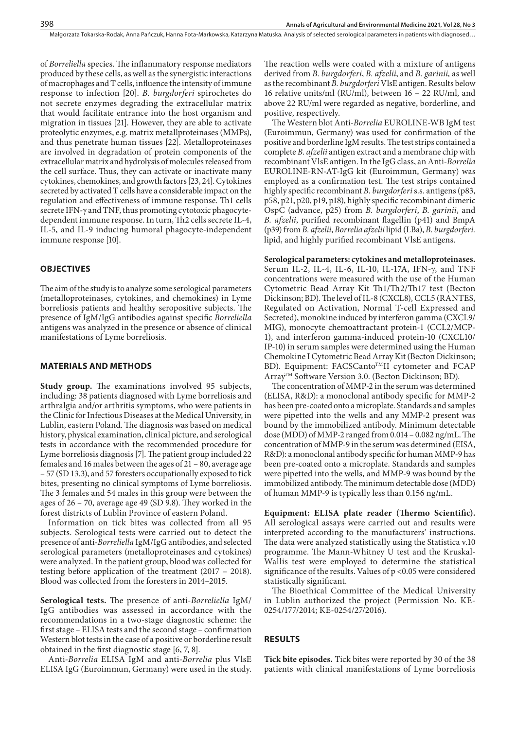Małgorzata Tokarska-Rodak, Anna Pańczuk, Hanna Fota-Markowska, Katarzyna Matuska . Analysis of selected serological parameters in patients with diagnosed…

of *Borreliella* species. The inflammatory response mediators produced by these cells, as well as the synergistic interactions of macrophages and T cells, influence the intensity of immune response to infection [20]. *B. burgdorferi* spirochetes do not secrete enzymes degrading the extracellular matrix that would facilitate entrance into the host organism and migration in tissues [21]. However, they are able to activate proteolytic enzymes, e.g. matrix metallproteinases (MMPs), and thus penetrate human tissues [22]. Metalloproteinases are involved in degradation of protein components of the extracellular matrix and hydrolysis of molecules released from the cell surface. Thus, they can activate or inactivate many cytokines, chemokines, and growth factors [23, 24]. Cytokines secreted by activated T cells have a considerable impact on the regulation and effectiveness of immune response. Th1 cells secrete IFN- $\gamma$  and TNF, thus promoting cytotoxic phagocytedependent immune response. In turn, Th2 cells secrete IL-4, IL-5, and IL-9 inducing humoral phagocyte-independent immune response [10].

## **OBJECTIVES**

The aim of the study is to analyze some serological parameters (metalloproteinases, cytokines, and chemokines) in Lyme borreliosis patients and healthy seropositive subjects. The presence of IgM/IgG antibodies against specific *Borreliella* antigens was analyzed in the presence or absence of clinical manifestations of Lyme borreliosis.

## **MATERIALS AND METHODS**

**Study group.** The examinations involved 95 subjects, including: 38 patients diagnosed with Lyme borreliosis and arthralgia and/or arthritis symptoms, who were patients in the Clinic for Infectious Diseases at the Medical University, in Lublin, eastern Poland. The diagnosis was based on medical history, physical examination, clinical picture, and serological tests in accordance with the recommended procedure for Lyme borreliosis diagnosis [7]. The patient group included 22 females and 16 males between the ages of 21 – 80, average age – 57 (SD 13.3), and 57 foresters occupationally exposed to tick bites, presenting no clinical symptoms of Lyme borreliosis. The 3 females and 54 males in this group were between the ages of 26 – 70, average age 49 (SD 9.8). They worked in the forest districts of Lublin Province of eastern Poland.

Information on tick bites was collected from all 95 subjects. Serological tests were carried out to detect the presence of anti-*Borreliella* IgM/IgG antibodies, and selected serological parameters (metalloproteinases and cytokines) were analyzed. In the patient group, blood was collected for testing before application of the treatment (2017 – 2018). Blood was collected from the foresters in 2014–2015.

**Serological tests.** The presence of anti-*Borreliella* IgM/ IgG antibodies was assessed in accordance with the recommendations in a two-stage diagnostic scheme: the first stage – ELISA tests and the second stage – confirmation Western blot tests in the case of a positive or borderline result obtained in the first diagnostic stage [6, 7, 8].

Anti-*Borrelia* ELISA IgM and anti-*Borrelia* plus VlsE ELISA IgG (Euroimmun, Germany) were used in the study. The reaction wells were coated with a mixture of antigens derived from *B. burgdorferi*, *B. afzelii*, and *B. garinii,* as well as the recombinant *B. burgdorferi* VlsE antigen. Results below 16 relative units/ml (RU/ml), between 16 – 22 RU/ml, and above 22 RU/ml were regarded as negative, borderline, and positive, respectively.

The Western blot Anti-*Borrelia* EUROLINE-WB IgM test (Euroimmun, Germany) was used for confirmation of the positive and borderline IgM results. The test strips contained a complete *B. afzelii* antigen extract and a membrane chip with recombinant VlsE antigen. In the IgG class, an Anti-*Borrelia* EUROLINE-RN-AT-IgG kit (Euroimmun, Germany) was employed as a confirmation test. The test strips contained highly specific recombinant *B. burgdorferi* s.s. antigens (p83, p58, p21, p20, p19, p18), highly specific recombinant dimeric OspC (advance, p25) from *B. burgdorferi*, *B. garinii*, and *B. afzelii*, purified recombinant flagellin (p41) and BmpA (p39) from *B. afzelii*, *Borrelia afzelii* lipid (LBa), *B. burgdorferi.* lipid, and highly purified recombinant VlsE antigens.

**Serological parameters: cytokines and metalloproteinases.**  Serum IL-2, IL-4, IL-6, IL-10, IL-17A, IFN-g, and TNF concentrations were measured with the use of the Human Cytometric Bead Array Kit Th1/Th2/Th17 test (Becton Dickinson; BD). The level of IL-8 (CXCL8), CCL5 (RANTES, Regulated on Activation, Normal T-cell Expressed and Secreted), monokine induced by interferon gamma (CXCL9/ MIG), monocyte chemoattractant protein-1 (CCL2/MCP-1), and interferon gamma-induced protein-10 (CXCL10/ IP-10) in serum samples were determined using the Human Chemokine I Cytometric Bead Array Kit (Becton Dickinson; BD). Equipment: FACSCanto<sup>TM</sup>II cytometer and FCAP Array<sup>™</sup> Software Version 3.0. (Becton Dickinson; BD).

The concentration of MMP-2 in the serum was determined (ELISA, R&D): a monoclonal antibody specific for MMP-2 has been pre-coated onto a microplate. Standards and samples were pipetted into the wells and any MMP-2 present was bound by the immobilized antibody. Minimum detectable dose (MDD) of MMP-2 ranged from 0.014 – 0.082 ng/mL. The concentration of MMP-9 in the serum was determined (EISA, R&D): a monoclonal antibody specific for human MMP-9 has been pre-coated onto a microplate. Standards and samples were pipetted into the wells, and MMP-9 was bound by the immobilized antibody. The minimum detectable dose (MDD) of human MMP-9 is typically less than 0.156 ng/mL.

**Equipment: ELISA plate reader (Thermo Scientific).** All serological assays were carried out and results were interpreted according to the manufacturers' instructions. The data were analyzed statistically using the Statistica v.10 programme. The Mann-Whitney U test and the Kruskal-Wallis test were employed to determine the statistical significance of the results. Values of p <0.05 were considered statistically significant.

The Bioethical Committee of the Medical University in Lublin authorized the project (Permission No. KE-0254/177/2014; KE-0254/27/2016).

# **RESULTS**

**Tick bite episodes.** Tick bites were reported by 30 of the 38 patients with clinical manifestations of Lyme borreliosis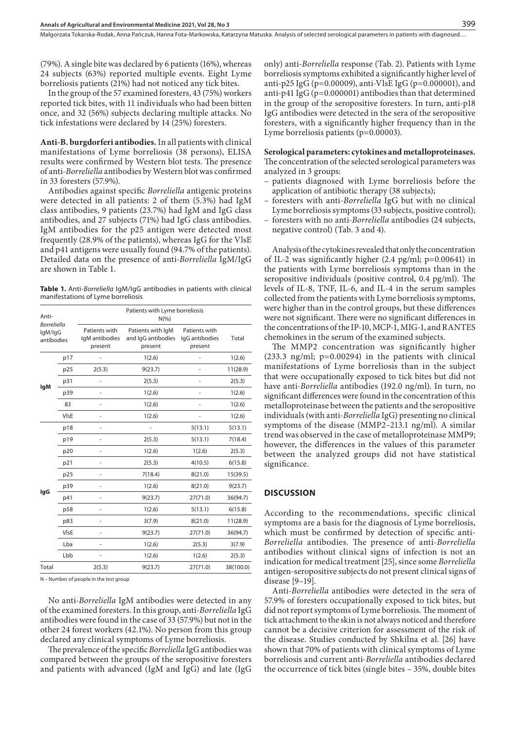Małgorzata Tokarska-Rodak, Anna Pańczuk, Hanna Fota-Markowska, Katarzyna Matuska . Analysis of selected serological parameters in patients with diagnosed…

(79%). A single bite was declared by 6 patients (16%), whereas 24 subjects (63%) reported multiple events. Eight Lyme borreliosis patients (21%) had not noticed any tick bites.

In the group of the 57 examined foresters, 43 (75%) workers reported tick bites, with 11 individuals who had been bitten once, and 32 (56%) subjects declaring multiple attacks. No tick infestations were declared by 14 (25%) foresters.

**Anti-B. burgdorferi antibodies.**In all patients with clinical manifestations of Lyme borreliosis (38 persons), ELISA results were confirmed by Western blot tests. The presence of anti-*Borreliella* antibodies by Western blot was confirmed in 33 foresters (57.9%).

Antibodies against specific *Borreliella* antigenic proteins were detected in all patients: 2 of them (5.3%) had IgM class antibodies, 9 patients (23.7%) had IgM and IgG class antibodies, and 27 subjects (71%) had IgG class antibodies. IgM antibodies for the p25 antigen were detected most frequently (28.9% of the patients), whereas IgG for the VlsE and p41 antigens were usually found (94.7% of the patients). Detailed data on the presence of anti-*Borreliella* IgM/IgG are shown in Table 1.

**Table 1.** Anti-*Borreliella* IgM/IgG antibodies in patients with clinical manifestations of Lyme borreliosis

| Anti-<br><b>Borreliella</b><br>lgM/lgG<br>antibodies |      |                                            | Patients with Lyme borreliosis<br>$N(\% )$         |                                            |           |  |
|------------------------------------------------------|------|--------------------------------------------|----------------------------------------------------|--------------------------------------------|-----------|--|
|                                                      |      | Patients with<br>IgM antibodies<br>present | Patients with IqM<br>and IgG antibodies<br>present | Patients with<br>IgG antibodies<br>present | Total     |  |
|                                                      | p17  |                                            | 1(2.6)                                             | ٠                                          | 1(2.6)    |  |
|                                                      | p25  | 2(5.3)                                     | 9(23.7)                                            |                                            | 11(28.9)  |  |
| <b>IgM</b>                                           | p31  |                                            | 2(5.3)                                             |                                            | 2(5.3)    |  |
|                                                      | p39  | $\overline{\phantom{0}}$                   | 1(2.6)                                             | $\frac{1}{2}$                              | 1(2.6)    |  |
|                                                      | 83   |                                            | 1(2.6)                                             |                                            | 1(2.6)    |  |
|                                                      | VIsE |                                            | 1(2.6)                                             |                                            | 1(2.6)    |  |
|                                                      | p18  | ٠                                          |                                                    | 5(13.1)                                    | 5(13.1)   |  |
|                                                      | p19  |                                            | 2(5.3)                                             | 5(13.1)                                    | 7(18.4)   |  |
|                                                      | p20  |                                            | 1(2.6)                                             | 1(2.6)                                     | 2(5.3)    |  |
|                                                      | p21  |                                            | 2(5.3)                                             | 4(10.5)                                    | 6(15.8)   |  |
|                                                      | p25  |                                            | 7(18.4)                                            | 8(21.0)                                    | 15(39.5)  |  |
|                                                      | p39  | ٠                                          | 1(2.6)                                             | 8(21.0)                                    | 9(23.7)   |  |
| lgG                                                  | p41  |                                            | 9(23.7)                                            | 27(71.0)                                   | 36(94.7)  |  |
|                                                      | p58  |                                            | 1(2.6)                                             | 5(13.1)                                    | 6(15.8)   |  |
|                                                      | p83  | $\overline{\phantom{0}}$                   | 3(7.9)                                             | 8(21.0)                                    | 11(28.9)  |  |
|                                                      | VIsE |                                            | 9(23.7)                                            | 27(71.0)                                   | 36(94.7)  |  |
|                                                      | Lba  |                                            | 1(2.6)                                             | 2(5.3)                                     | 3(7.9)    |  |
|                                                      | Lbb  | ٠                                          | 1(2.6)                                             | 1(2.6)                                     | 2(5.3)    |  |
| Total                                                |      | 2(5.3)                                     | 9(23.7)                                            | 27(71.0)                                   | 38(100.0) |  |

N – Number of people in the test group

No anti-*Borreliella* IgM antibodies were detected in any of the examined foresters.In this group, anti-*Borreliella* IgG antibodies were found in the case of 33 (57.9%) but not in the other 24 forest workers (42.1%). No person from this group declared any clinical symptoms of Lyme borreliosis.

The prevalence of the specific *Borreliella* IgG antibodies was compared between the groups of the seropositive foresters and patients with advanced (IgM and IgG) and late (IgG only) anti-*Borreliella* response (Tab. 2). Patients with Lyme borreliosis symptoms exhibited a significantly higher level of anti-p25 IgG (p=0.00009), anti-VlsE IgG (p=0.000001), and anti-p41 IgG (p=0.000001) antibodies than that determined in the group of the seropositive foresters. In turn, anti-p18 IgG antibodies were detected in the sera of the seropositive foresters, with a significantly higher frequency than in the Lyme borreliosis patients (p=0.00003).

#### **Serological parameters: cytokines and metalloproteinases.**

The concentration of the selected serological parameters was analyzed in 3 groups:

- patients diagnosed with Lyme borreliosis before the application of antibiotic therapy (38 subjects);
- foresters with anti-*Borreliella* IgG but with no clinical Lyme borreliosis symptoms (33 subjects, positive control);
- foresters with no anti-*Borreliella* antibodies (24 subjects, negative control) (Tab. 3 and 4).

Analysis of the cytokines revealed that only the concentration of IL-2 was significantly higher (2.4 pg/ml; p=0.00641) in the patients with Lyme borreliosis symptoms than in the seropositive individuals (positive control, 0.4 pg/ml). The levels of IL-8, TNF, IL-6, and IL-4 in the serum samples collected from the patients with Lyme borreliosis symptoms, were higher than in the control groups, but these differences were not significant. There were no significant differences in the concentrations of the IP-10, MCP-1, MIG-1, and RANTES chemokines in the serum of the examined subjects.

The MMP2 concentration was significantly higher  $(233.3 \text{ ng/ml}; \text{ p=0.00294})$  in the patients with clinical manifestations of Lyme borreliosis than in the subject that were occupationally exposed to tick bites but did not have anti-*Borreliella* antibodies (192.0 ng/ml). In turn, no significant differences were found in the concentration of this metalloproteinase between the patients and the seropositive individuals (with anti-*Borreliella* IgG) presenting no clinical symptoms of the disease (MMP2–213.1 ng/ml). A similar trend was observed in the case of metalloproteinase MMP9; however, the differences in the values of this parameter between the analyzed groups did not have statistical significance.

## **DISCUSSION**

According to the recommendations, specific clinical symptoms are a basis for the diagnosis of Lyme borreliosis, which must be confirmed by detection of specific anti-*Borreliella* antibodies. The presence of anti-*Borreliella* antibodies without clinical signs of infection is not an indication for medical treatment [25], since some *Borreliella* antigen-seropositive subjects do not present clinical signs of disease [9–19].

Anti-*Borreliella* antibodies were detected in the sera of 57.9% of foresters occupationally exposed to tick bites, but did not report symptoms of Lyme borreliosis. The moment of tick attachment to the skin is not always noticed and therefore cannot be a decisive criterion for assessment of the risk of the disease. Studies conducted by Shkilna et al. [26] have shown that 70% of patients with clinical symptoms of Lyme borreliosis and current anti-*Borreliella* antibodies declared the occurrence of tick bites (single bites – 35%, double bites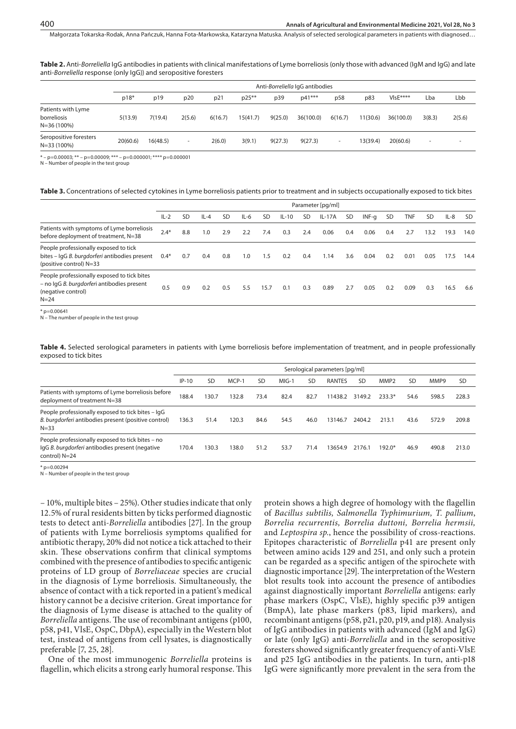Małgorzata Tokarska-Rodak, Anna Pańczuk, Hanna Fota-Markowska, Katarzyna Matuska . Analysis of selected serological parameters in patients with diagnosed…

**Table 2.** Anti-*Borreliella* IgG antibodies in patients with clinical manifestations of Lyme borreliosis (only those with advanced (IgM and IgG) and late anti-*Borreliella* response (only IgG)) and seropositive foresters

|                                                      | Anti-Borreliella IqG antibodies |          |                          |         |          |         |           |                          |          |           |                          |                          |
|------------------------------------------------------|---------------------------------|----------|--------------------------|---------|----------|---------|-----------|--------------------------|----------|-----------|--------------------------|--------------------------|
|                                                      | $p18*$                          | p19      | p20                      | p21     | $p25***$ | p39     | $p41***$  | p58                      | p83      | $VlsE***$ | Lba                      | Lbb                      |
| Patients with Lyme<br>borreliosis<br>$N = 36(100\%)$ | 5(13.9)                         | 7(19.4)  | 2(5.6)                   | 6(16.7) | 15(41.7) | 9(25.0) | 36(100.0) | 6(16.7)                  | 11(30.6) | 36(100.0) | 3(8.3)                   | 2(5.6)                   |
| Seropositive foresters<br>$N = 33(100\%)$            | 20(60.6)                        | 16(48.5) | $\overline{\phantom{a}}$ | 2(6.0)  | 3(9.1)   | 9(27.3) | 9(27.3)   | $\overline{\phantom{a}}$ | 13(39.4) | 20(60.6)  | $\overline{\phantom{a}}$ | $\overline{\phantom{a}}$ |

 $* - p=0.00003$ ; \*\* – p=0.00009; \*\*\* – p=0.000001; \*\*\*\* p=0.000001

N – Number of people in the test group

#### **Table 3.** Concentrations of selected cytokines in Lyme borreliosis patients prior to treatment and in subjects occupationally exposed to tick bites

|                                                                                                                             | Parameter [pg/ml] |     |        |           |        |      |         |           |          |           |         |           |            |           |        |           |
|-----------------------------------------------------------------------------------------------------------------------------|-------------------|-----|--------|-----------|--------|------|---------|-----------|----------|-----------|---------|-----------|------------|-----------|--------|-----------|
|                                                                                                                             | $IL-2$            | SD  | $IL-4$ | <b>SD</b> | $IL-6$ | SD   | $IL-10$ | <b>SD</b> | $IL-17A$ | <b>SD</b> | $INF-a$ | <b>SD</b> | <b>TNF</b> | <b>SD</b> | $IL-8$ | <b>SD</b> |
| Patients with symptoms of Lyme borreliosis<br>before deployment of treatment, N=38                                          | $2.4*$            | 8.8 | 1.0    | 2.9       | 2.2    | 7.4  | 0.3     | 2.4       | 0.06     | 0.4       | 0.06    | 0.4       | 2.7        | 13.2      | 19.3   | 14.0      |
| People professionally exposed to tick<br>bites - IgG B. burgdorferi antibodies present<br>(positive control) N=33           | $0.4*$            | 0.7 | 0.4    | 0.8       | 1.0    | 1.5  | 0.2     | 0.4       | 1.14     | 3.6       | 0.04    | 0.2       | 0.01       | 0.05      | 17.5   | 14.4      |
| People professionally exposed to tick bites<br>- no IgG B. burgdorferi antibodies present<br>(negative control)<br>$N = 24$ |                   | 0.9 | 0.2    | 0.5       | 5.5    | 15.7 | 0.1     | 0.3       | 0.89     | 2.7       | 0.05    | 0.2       | 0.09       | 0.3       | 16.5   | 6.6       |

 $p = 0.00641$ 

N – The number of people in the test group

Table 4. Selected serological parameters in patients with Lyme borreliosis before implementation of treatment, and in people professionally exposed to tick bites

|                                                                                                                       | Serological parameters [pg/ml] |           |       |           |         |           |         |        |                  |           |       |           |
|-----------------------------------------------------------------------------------------------------------------------|--------------------------------|-----------|-------|-----------|---------|-----------|---------|--------|------------------|-----------|-------|-----------|
|                                                                                                                       | $IP-10$                        | <b>SD</b> | MCP-1 | <b>SD</b> | $MIG-1$ | <b>SD</b> | RANTES  | SD     | MMP <sub>2</sub> | <b>SD</b> | MMP9  | <b>SD</b> |
| Patients with symptoms of Lyme borreliosis before<br>deployment of treatment N=38                                     | 188.4                          | 130.7     | 132.8 | 73.4      | 82.4    | 82.7      | 11438.2 | 3149.2 | $233.3*$         | 54.6      | 598.5 | 228.3     |
| People professionally exposed to tick bites – IgG<br>B. burgdorferi antibodies present (positive control)<br>$N = 33$ | 136.3                          | 51.4      | 120.3 | 84.6      | 54.5    | 46.0      | 13146.7 | 2404.2 | 213.1            | 43.6      | 572.9 | 209.8     |
| People professionally exposed to tick bites - no<br>IqG B. burgdorferi antibodies present (negative<br>control) N=24  | 170.4                          | 30.3      | 138.0 | 51.2      | 53.7    | 71.4      | 3654.9  | 2176.1 | $192.0*$         | 46.9      | 490.8 | 213.0     |

 $p = 0.00294$ N – Number of people in the test group

– 10%, multiple bites – 25%). Other studies indicate that only 12.5% of rural residents bitten by ticks performed diagnostic tests to detect anti-*Borreliella* antibodies [27]. In the group of patients with Lyme borreliosis symptoms qualified for antibiotic therapy, 20% did not notice a tick attached to their skin. These observations confirm that clinical symptoms combined with the presence of antibodies to specific antigenic proteins of LD group of *Borreliaceae* species are crucial in the diagnosis of Lyme borreliosis. Simultaneously, the absence of contact with a tick reported in a patient's medical history cannot be a decisive criterion. Great importance for the diagnosis of Lyme disease is attached to the quality of *Borreliella* antigens. The use of recombinant antigens (p100, p58, p41, VlsE, OspC, DbpA), especially in the Western blot test, instead of antigens from cell lysates, is diagnostically preferable [7, 25, 28].

One of the most immunogenic *Borreliella* proteins is flagellin, which elicits a strong early humoral response. This

protein shows a high degree of homology with the flagellin of *Bacillus subtilis, Salmonella Typhimurium, T. pallium*, *Borrelia recurrentis, Borrelia duttoni, Borrelia hermsii,*  and *Leptospira sp.*, hence the possibility of cross-reactions. Epitopes characteristic of *Borreliella* p41 are present only between amino acids 129 and 251, and only such a protein can be regarded as a specific antigen of the spirochete with diagnostic importance [29]. The interpretation of the Western blot results took into account the presence of antibodies against diagnostically important *Borreliella* antigens: early phase markers (OspC, VlsE), highly specific p39 antigen (BmpA), late phase markers (p83, lipid markers), and recombinant antigens (p58, p21, p20, p19, and p18). Analysis of IgG antibodies in patients with advanced (IgM and IgG) or late (only IgG) anti-*Borreliella* and in the seropositive foresters showed significantly greater frequency of anti-VlsE and p25 IgG antibodies in the patients. In turn, anti-p18 IgG were significantly more prevalent in the sera from the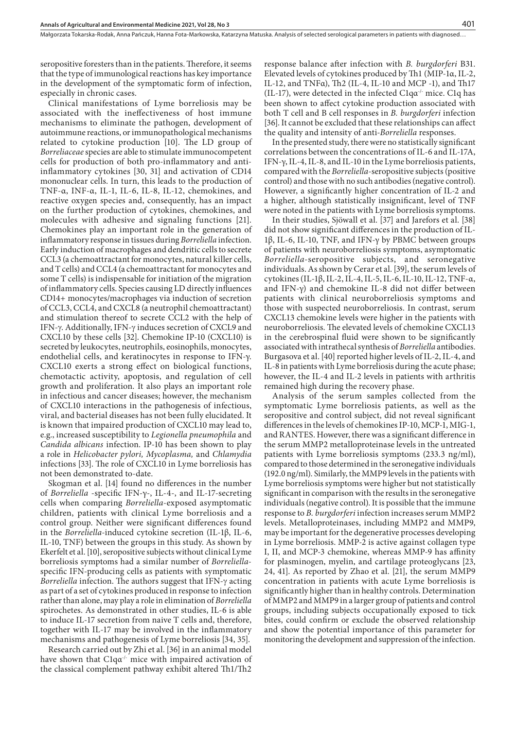seropositive foresters than in the patients. Therefore, it seems that the type of immunological reactions has key importance in the development of the symptomatic form of infection, especially in chronic cases.

Clinical manifestations of Lyme borreliosis may be associated with the ineffectiveness of host immune mechanisms to eliminate the pathogen, development of autoimmune reactions, or immunopathological mechanisms related to cytokine production [10]. The LD group of *Borreliaceae* species are able to stimulate immunocompetent cells for production of both pro-inflammatory and antiinflammatory cytokines [30, 31] and activation of CD14 mononuclear cells. In turn, this leads to the production of TNF-α, INF-α, IL-1, IL-6, IL-8, IL-12, chemokines, and reactive oxygen species and, consequently, has an impact on the further production of cytokines, chemokines, and molecules with adhesive and signaling functions [21]. Chemokines play an important role in the generation of inflammatory response in tissues during *Borreliella* infection. Early induction of macrophages and dendritic cells to secrete CCL3 (a chemoattractant for monocytes, natural killer cells, and T cells) and CCL4 (a chemoattractant for monocytes and some T cells) is indispensable for initiation of the migration of inflammatory cells. Species causing LD directly influences CD14+ monocytes/macrophages via induction of secretion of CCL3, CCL4, and CXCL8 (a neutrophil chemoattractant) and stimulation thereof to secrete CCL2 with the help of IFN-g. Additionally, IFN-g induces secretion of CXCL9 and CXCL10 by these cells [32]. Chemokine IP-10 (CXCL10) is secreted by leukocytes, neutrophils, eosinophils, monocytes, endothelial cells, and keratinocytes in response to IFN-γ. CXCL10 exerts a strong effect on biological functions, chemotactic activity, apoptosis, and regulation of cell growth and proliferation. It also plays an important role in infectious and cancer diseases; however, the mechanism of CXCL10 interactions in the pathogenesis of infectious, viral, and bacterial diseases has not been fully elucidated. It is known that impaired production of CXCL10 may lead to, e.g., increased susceptibility to *Legionella pneumophila* and *Candida albicans* infection. IP-10 has been shown to play a role in *Helicobacter pylori, Mycoplasma,* and *Chlamydia* infections [33]. The role of CXCL10 in Lyme borreliosis has not been demonstrated to-date.

Skogman et al. [14] found no differences in the number of *Borreliella* -specific IFN-γ-, IL-4-, and IL-17-secreting cells when comparing *Borreliella-*exposed asymptomatic children, patients with clinical Lyme borreliosis and a control group. Neither were significant differences found in the *Borreliella-*induced cytokine secretion (IL-1β, IL-6, IL-10, TNF) between the groups in this study. As shown by Ekerfelt et al. [10], seropositive subjects without clinical Lyme borreliosis symptoms had a similar number of *Borreliella*specific IFN-producing cells as patients with symptomatic *Borreliella* infection. The authors suggest that IFN-g acting as part of a set of cytokines produced in response to infection rather than alone, may play a role in elimination of *Borreliella* spirochetes. As demonstrated in other studies, IL-6 is able to induce IL-17 secretion from naive T cells and, therefore, together with IL-17 may be involved in the inflammatory mechanisms and pathogenesis of Lyme borreliosis [34, 35].

Research carried out by Zhi et al. [36] in an animal model have shown that C1qα<sup>-/-</sup> mice with impaired activation of the classical complement pathway exhibit altered Th1/Th2

response balance after infection with *B. burgdorferi* B31. Elevated levels of cytokines produced by Th1 (MIP-1α, IL-2, IL-12, and TNFα), Th2 (IL-4, IL-10 and MCP -1), and Th17 (IL-17), were detected in the infected C1q $\alpha$ <sup>-/-</sup> mice. C1q has been shown to affect cytokine production associated with both T cell and B cell responses in *B. burgdorferi* infection [36]. It cannot be excluded that these relationships can affect the quality and intensity of anti*-Borreliella* responses.

In the presented study, there were no statistically significant correlations between the concentrations of IL-6 and IL-17A, IFN-γ, IL-4, IL-8, and IL-10 in the Lyme borreliosis patients, compared with the *Borreliella*-seropositive subjects (positive control) and those with no such antibodies (negative control). However, a significantly higher concentration of IL-2 and a higher, although statistically insignificant, level of TNF were noted in the patients with Lyme borreliosis symptoms.

In their studies, Sjöwall et al. [37] and Jarefors et al. [38] did not show significant differences in the production of IL-1β, IL-6, IL-10, TNF, and IFN-γ by PBMC between groups of patients with neuroborreliosis symptoms, asymptomatic *Borreliella*-seropositive subjects, and seronegative individuals. As shown by Cerar et al. [39], the serum levels of cytokines (IL-1β, IL-2, IL-4, IL-5, IL-6, IL-10, IL-12, TNF-α, and IFN-γ) and chemokine IL-8 did not differ between patients with clinical neuroborreliosis symptoms and those with suspected neuroborreliosis. In contrast, serum CXCL13 chemokine levels were higher in the patients with neuroborreliosis. The elevated levels of chemokine CXCL13 in the cerebrospinal fluid were shown to be significantly associated with intrathecal synthesis of *Borreliella* antibodies. Burgasova et al. [40] reported higher levels of IL-2, IL-4, and IL-8 in patients with Lyme borreliosis during the acute phase; however, the IL-4 and IL-2 levels in patients with arthritis remained high during the recovery phase.

Analysis of the serum samples collected from the symptomatic Lyme borreliosis patients, as well as the seropositive and control subject, did not reveal significant differences in the levels of chemokines IP-10, MCP-1, MIG-1, and RANTES. However, there was a significant difference in the serum MMP2 metalloproteinase levels in the untreated patients with Lyme borreliosis symptoms (233.3 ng/ml), compared to those determined in the seronegative individuals (192.0 ng/ml). Similarly, the MMP9 levels in the patients with Lyme borreliosis symptoms were higher but not statistically significant in comparison with the results in the seronegative individuals (negative control). It is possible that the immune response to *B. burgdorferi* infection increases serum MMP2 levels. Metalloproteinases, including MMP2 and MMP9, may be important for the degenerative processes developing in Lyme borreliosis. MMP-2 is active against collagen type I, II, and MCP-3 chemokine, whereas MMP-9 has affinity for plasminogen, myelin, and cartilage proteoglycans [23, 24, 41]. As reported by Zhao et al. [21], the serum MMP9 concentration in patients with acute Lyme borreliosis is significantly higher than in healthy controls. Determination of MMP2 and MMP9 in a larger group of patients and control groups, including subjects occupationally exposed to tick bites, could confirm or exclude the observed relationship and show the potential importance of this parameter for monitoring the development and suppression of the infection.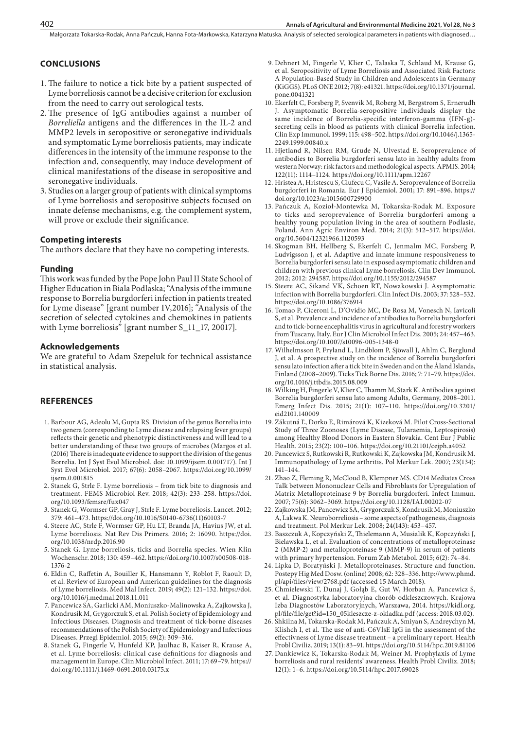## **CONCLUSIONS**

- 1. The failure to notice a tick bite by a patient suspected of Lyme borreliosis cannot be a decisive criterion for exclusion from the need to carry out serological tests.
- 2.The presence of IgG antibodies against a number of *Borreliella* antigens and the differences in the IL-2 and MMP2 levels in seropositive or seronegative individuals and symptomatic Lyme borreliosis patients, may indicate differences in the intensity of the immune response to the infection and, consequently, may induce development of clinical manifestations of the disease in seropositive and seronegative individuals.
- 3. Studies on a larger group of patients with clinical symptoms of Lyme borreliosis and seropositive subjects focused on innate defense mechanisms, e.g. the complement system, will prove or exclude their significance.

#### **Competing interests**

The authors declare that they have no competing interests.

#### **Funding**

This work was funded by the Pope John Paul II State School of Higher Education in Biala Podlaska; "Analysis of the immune response to Borrelia burgdorferi infection in patients treated for Lyme disease" [grant number IV,2016]; "Analysis of the secretion of selected cytokines and chemokines in patients with Lyme borreliosis" [grant number S\_11\_17, 20017].

#### **Acknowledgements**

We are grateful to Adam Szepeluk for technical assistance in statistical analysis.

## **REFERENCES**

- 1. Barbour AG, Adeolu M, Gupta RS. Division of the genus Borrelia into two genera (corresponding to Lyme disease and relapsing fever groups) reflects their genetic and phenotypic distinctiveness and will lead to a better understanding of these two groups of microbes (Margos et al. (2016) There is inadequate evidence to support the division of the genus Borrelia. Int J Syst Evol Microbiol. doi: 10.1099/ijsem.0.001717). Int J Syst Evol Microbiol. 2017; 67(6): 2058–2067. https://doi.org/10.1099/ ijsem.0.001815
- 2. Stanek G, Strle F. Lyme borreliosis from tick bite to diagnosis and treatment. FEMS Microbiol Rev. 2018; 42(3): 233–258. https://doi. org/10.1093/femsre/fux047
- 3. Stanek G, Wormser GP, Gray J, Strle F. Lyme borreliosis. Lancet. 2012; 379: 461–473. https://doi.org/10.1016/S0140-6736(11)60103-7
- 4. Steere AC, Strle F, Wormser GP, Hu LT, Branda JA, Havius JW, et al. Lyme borreliosis. Nat Rev Dis Primers. 2016; 2: 16090. https://doi. org/10.1038/nrdp.2016.90
- 5. Stanek G. Lyme borreliosis, ticks and Borrelia species. Wien Klin Wochenschr. 2018; 130: 459–462. https://doi.org/10.1007/s00508-018- 1376-2
- 6. Eldin C, Raffetin A, Bouiller K, Hansmann Y, Roblot F, Raoult D, et al. Review of European and American guidelines for the diagnosis of Lyme borreliosis. Med Mal Infect. 2019; 49(2): 121–132. https://doi. org/10.1016/j.medmal.2018.11.011
- 7. Pancewicz SA, Garlicki AM, Moniuszko-Malinowska A, Zajkowska J, Kondrusik M, Grygorczuk S, et al. Polish Society of Epidemiology and Infectious Diseases. Diagnosis and treatment of tick-borne diseases recommendations of the Polish Society of Epidemiology and Infectious Diseases. Przegl Epidemiol. 2015; 69(2): 309–316.
- 8. Stanek G, Fingerle V, Hunfeld KP, Jaulhac B, Kaiser R, Krause A, et al. Lyme borreliosis: clinical case definitions for diagnosis and management in Europe. Clin Microbiol Infect. 2011; 17: 69–79. https:// doi.org/10.1111/j.1469-0691.2010.03175.x
- 9. Dehnert M, Fingerle V, Klier C, Talaska T, Schlaud M, Krause G, et al. Seropositivity of Lyme Borreliosis and Associated Risk Factors: A Population-Based Study in Children and Adolescents in Germany (KiGGS). PLoS ONE 2012; 7(8): e41321. https://doi.org/10.1371/journal. pone.0041321
- 10. Ekerfelt C, Forsberg P, Svenvik M, Roberg M, Bergstrom S, Ernerudh J. Asymptomatic Borrelia-seropositive individuals display the same incidence of Borrelia-specific interferon-gamma (IFN-g) secreting cells in blood as patients with clinical Borrelia infection. Clin Exp Immunol. 1999; 115: 498–502. https://doi.org/10.1046/j.1365- 2249.1999.00840.x
- 11. Hjetland R, Nilsen RM, Grude N, Ulvestad E. Seroprevalence of antibodies to Borrelia burgdorferi sensu lato in healthy adults from western Norway: risk factors and methodological aspects. APMIS. 2014; 122(11): 1114–1124. https://doi.org/10.1111/apm.12267
- 12. Hristea A, Hristescu S, Ciufecu C, Vasile A. Seroprevalence of Borrelia burgdorferi in Romania. Eur J Epidemiol. 2001; 17: 891–896. https:// doi.org/10.1023/a:1015600729900
- 13. Pańczuk A, Kozioł-Montewka M, Tokarska-Rodak M. Exposure to ticks and seroprevalence of Borrelia burgdorferi among a healthy young population living in the area of southern Podlasie, Poland. Ann Agric Environ Med. 2014; 21(3): 512–517. https://doi. org/10.5604/12321966.1120593
- 14. Skogman BH, Hellberg S, Ekerfelt C, Jenmalm MC, Forsberg P, Ludvigsson J, et al. Adaptive and innate immune responsiveness to Borrelia burgdorferi sensu lato in exposed asymptomatic children and children with previous clinical Lyme borreliosis. Clin Dev Immunol. 2012; 2012: 294587. https://doi.org/10.1155/2012/294587
- 15. Steere AC, Sikand VK, Schoen RT, Nowakowski J. Asymptomatic infection with Borrelia burgdorferi. Clin Infect Dis. 2003; 37: 528–532. https://doi.org/10.1086/376914
- 16. Tomao P, Ciceroni L, D'Ovidio MC, De Rosa M, Vonesch N, Iavicoli S, et al. Prevalence and incidence of antibodies to Borrelia burgdorferi and to tick-borne encephalitis virus in agricultural and forestry workers from Tuscany, Italy. Eur J Clin Microbiol Infect Dis. 2005; 24: 457–463. https://doi.org/10.1007/s10096-005-1348-0
- 17. Wilhelmsson P, Fryland L, Lindblom P, Sjöwall J, Ahlm C, Berglund J, et al. A prospective study on the incidence of Borrelia burgdorferi sensu lato infection after a tick bite in Sweden and on the Åland Islands, Finland (2008–2009). Ticks Tick Borne Dis. 2016; 7: 71–79. https://doi. org/10.1016/j.ttbdis.2015.08.009
- 18. Wilking H, Fingerle V, Klier C, Thamm M, Stark K. Antibodies against Borrelia burgdorferi sensu lato among Adults, Germany, 2008–2011. Emerg Infect Dis. 2015; 21(1): 107–110. https://doi.org/10.3201/ eid2101.140009
- 19. Zákutná Ľ, Dorko E, Rimárová K, Kizeková M. Pilot Cross-Sectional Study of Three Zoonoses (Lyme Disease, Tularaemia, Leptospirosis) among Healthy Blood Donors in Eastern Slovakia. Cent Eur J Public Health. 2015; 23(2): 100–106. https://doi.org/10.21101/cejph.a4052
- 20. Pancewicz S, Rutkowski R, Rutkowski K, Zajkowska JM, Kondrusik M. Immunopathology of Lyme arthritis. Pol Merkur Lek. 2007; 23(134): 141–144.
- 21. Zhao Z, Fleming R, McCloud B, Klempner MS. CD14 Mediates Cross Talk between Mononuclear Cells and Fibroblasts for Upregulation of Matrix Metalloproteinase 9 by Borrelia burgdorferi. Infect Immun. 2007; 75(6): 3062–3069. https://doi.org/10.1128/IAI.00202-07
- 22. Zajkowska JM, Pancewicz SA, Grygorczuk S, Kondrusik M, Moniuszko A, Lakwa K. Neuroborreliosis – some aspects of pathogenesis, diagnosis and treatment. Pol Merkur Lek. 2008; 24(143): 453–457.
- 23. Baszczuk A, Kopczyński Z, Thielemann A, Musialik K, Kopczyński J, Bielawska L, et al. Evaluation of concentrations of metalloproteinase 2 (MMP-2) and metalloproteinase 9 (MMP-9) in serum of patients with primary hypertension. Forum Zab Metabol. 2015; 6(2): 74–84.
- 24. Lipka D, Boratyński J. Metalloproteinases. Structure and function. Postepy Hig Med Dosw. (online) 2008; 62: 328–336. http://www.phmd. pl/api/files/view/2768.pdf (accessed 15 March 2018).
- 25. Chmielewski T, Dunaj J, Gołąb E, Gut W, Horban A, Pancewicz S, et al. Diagnostyka laboratoryjna chorób odkleszczowych. Krajowa Izba Diagnostów Laboratoryjnych, Warszawa, 2014. https://kidl.org. pl/file/file/get?id=150\_05kleszcze-z-okladka.pdf (access: 2018.03.02).
- 26. Shkilna M, Tokarska-Rodak M, Pańczuk A, Smiyan S, Andreychyn M, Klishch I, et al. The use of anti-C6VlsE IgG in the assessment of the effectivness of Lyme disease treatment – a preliminary report. Health Probl Civiliz. 2019; 13(1): 83–91. https://doi.org/10.5114/hpc.2019.81106
- 27. Dankiewicz K, Tokarska-Rodak M, Weiner M. Prophylaxis of Lyme borreliosis and rural residents' awareness. Health Probl Civiliz. 2018; 12(1): 1–6. https://doi.org/10.5114/hpc.2017.69028